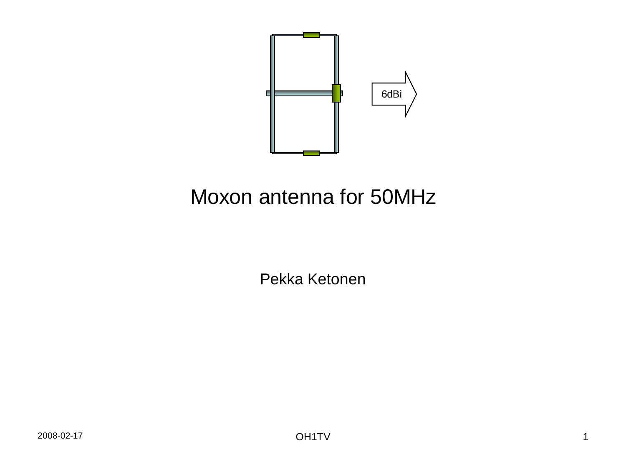

# Moxon antenna for 50MHz

Pekka Ketonen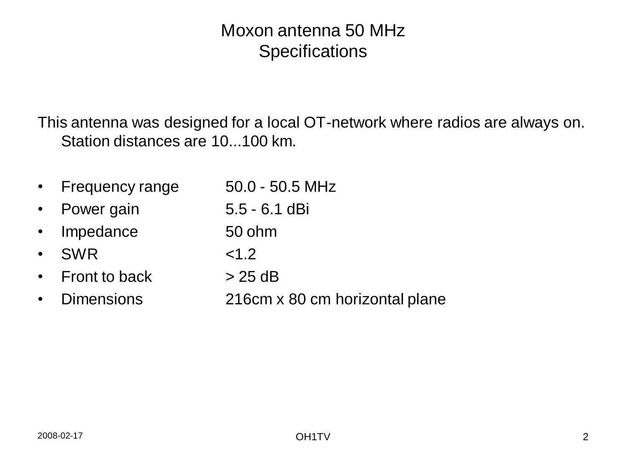#### Moxon antenna 50 MHz **Specifications**

This antenna was designed for a local OT-network where radios are always on. Station distances are 10...100 km.

- Frequency range 50.0 50.5 MHz
- Power gain 5.5 6.1 dBi
- Impedance 50 ohm
- SWR  $< 1.2$
- Front to back  $> 25$  dB
- Dimensions 216cm x 80 cm horizontal plane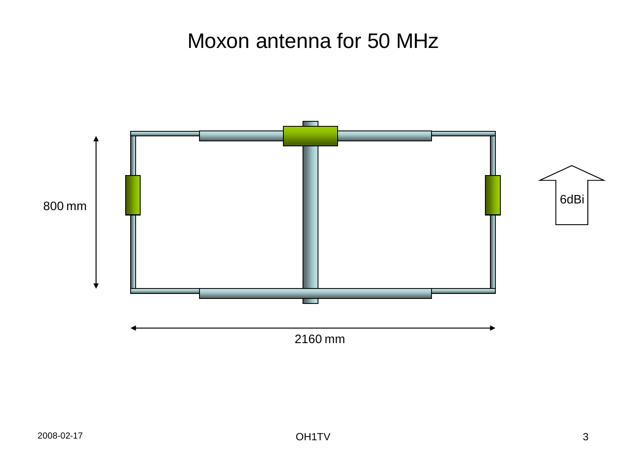## Moxon antenna for 50 MHz

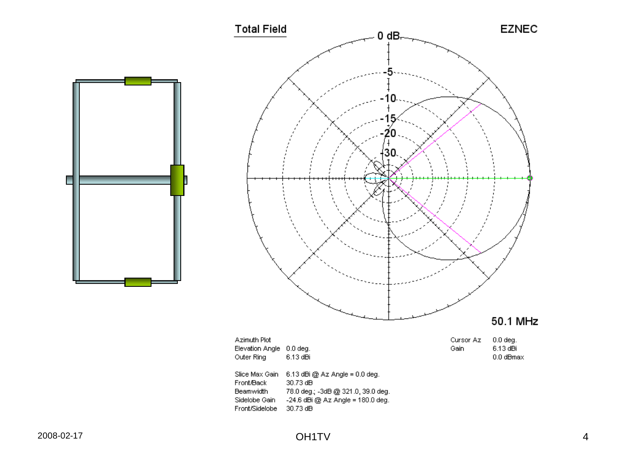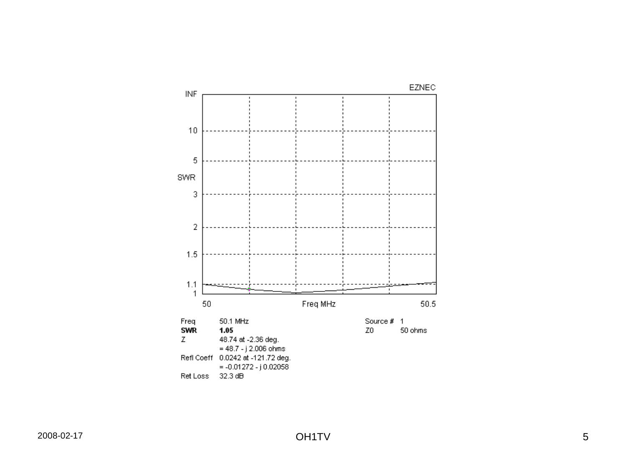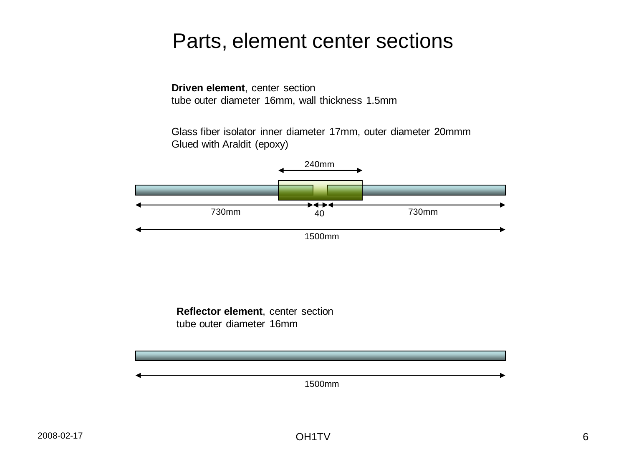#### Parts, element center sections

**Driven element**, center section tube outer diameter 16mm, wall thickness 1.5mm

Glass fiber isolator inner diameter 17mm, outer diameter 20mmm Glued with Araldit (epoxy)



**Reflector element**, center section tube outer diameter 16mm

1500mm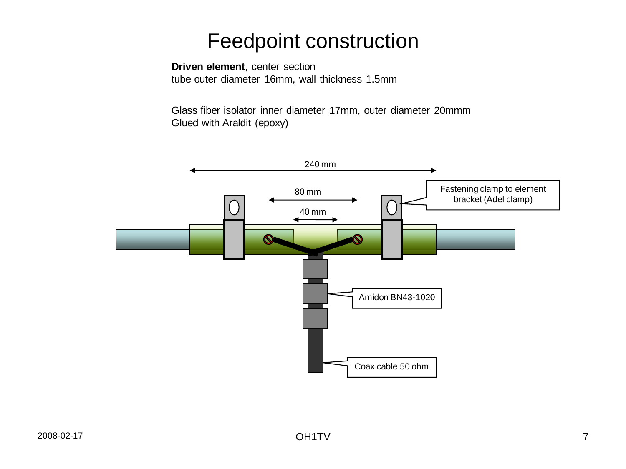### Feedpoint construction

**Driven element**, center section tube outer diameter 16mm, wall thickness 1.5mm

Glass fiber isolator inner diameter 17mm, outer diameter 20mmm Glued with Araldit (epoxy)

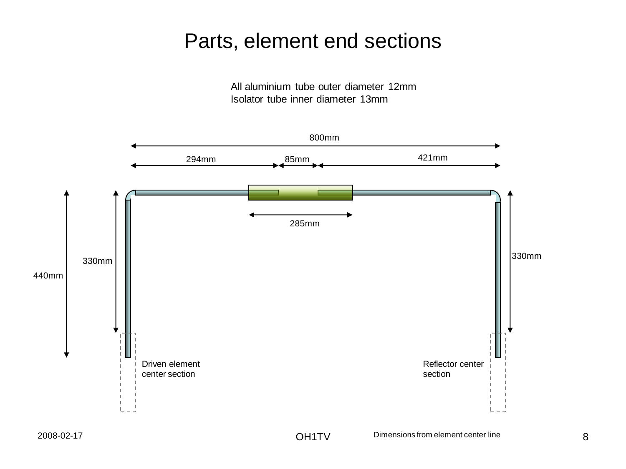### Parts, element end sections

All aluminium tube outer diameter 12mm Isolator tube inner diameter 13mm

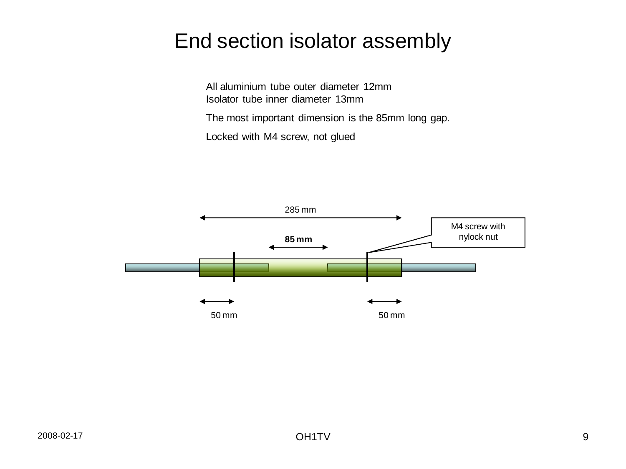### End section isolator assembly

All aluminium tube outer diameter 12mm Isolator tube inner diameter 13mm

The most important dimension is the 85mm long gap.

Locked with M4 screw, not glued

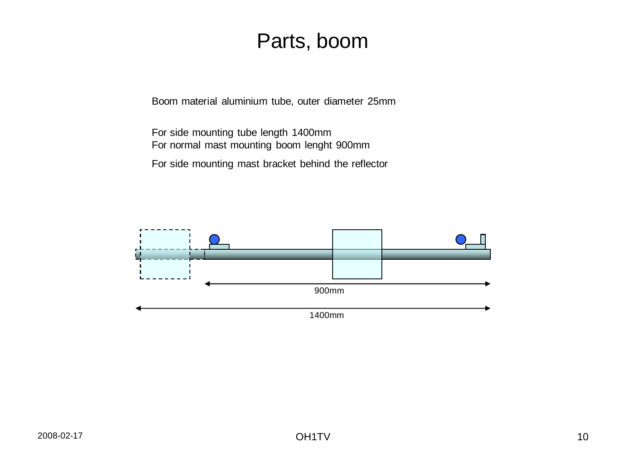#### Parts, boom

Boom material aluminium tube, outer diameter 25mm

For side mounting tube length 1400mm For normal mast mounting boom lenght 900mm

For side mounting mast bracket behind the reflector

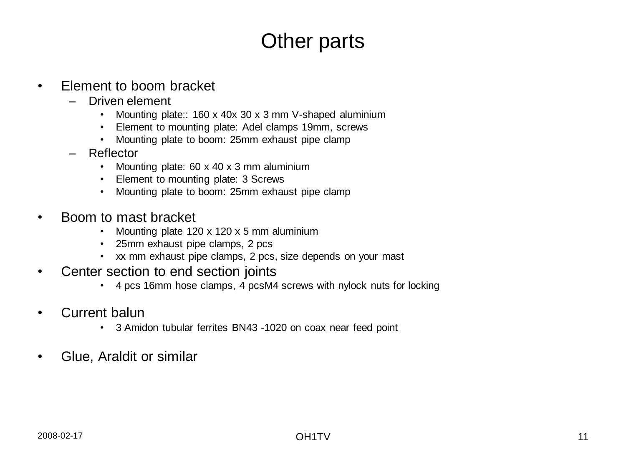# Other parts

- Element to boom bracket
	- Driven element
		- Mounting plate:: 160 x 40x 30 x 3 mm V-shaped aluminium
		- Element to mounting plate: Adel clamps 19mm, screws
		- Mounting plate to boom: 25mm exhaust pipe clamp
	- Reflector
		- Mounting plate: 60 x 40 x 3 mm aluminium
		- Element to mounting plate: 3 Screws
		- Mounting plate to boom: 25mm exhaust pipe clamp
- Boom to mast bracket
	- Mounting plate 120 x 120 x 5 mm aluminium
	- 25mm exhaust pipe clamps, 2 pcs
	- xx mm exhaust pipe clamps, 2 pcs, size depends on your mast
- Center section to end section joints
	- 4 pcs 16mm hose clamps, 4 pcsM4 screws with nylock nuts for locking
- Current balun
	- 3 Amidon tubular ferrites BN43 -1020 on coax near feed point
- Glue, Araldit or similar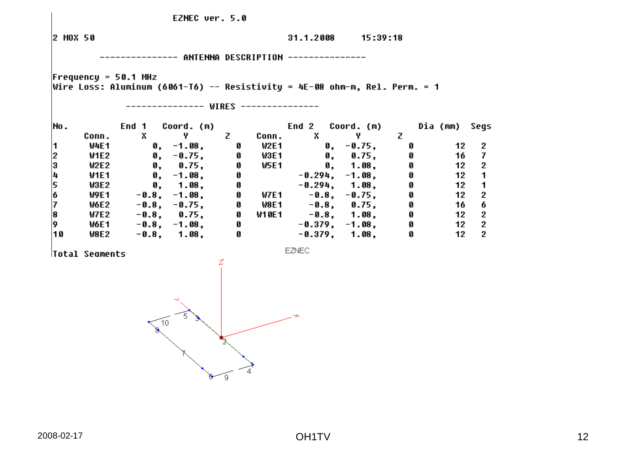EZNEC ver. 5.0

2 MOX 50

31.1.2008  $15:39:18$ 

-------------- WIRES ---------------

 $F$ requencu = 50.1 MHz Wire Loss: Aluminum (6061-T6) -- Resistivity = 4E-08 ohm-m, Rel. Perm. = 1

End 1 Coord.  $(m)$ End<sub>2</sub> Coord. (m) Dia (mm) Segs No.  $\mathbf{x}$ Υ.  $\mathsf{z}$  $\mathbf{x}$ Υ.  $\mathbf{Z}$ Conn. Conn. **W4E1 W2E1**  $\overline{2}$ 1  $0, -1.08,$ 0  $0, -0.75,$ Ø  $12$  $\overline{7}$ 2 **W1E2**  $0, -0.75,$ Ø W3E1  $\mathbf{0}$  .  $0.75.$ Ø  $16$ l3 **W2E2**  $0, 0.75,$ **W5E1**  $12$  $\mathbf{2}$ Ø 0,  $1.08.$ Ø **W1E1**  $0, -1.08.$  $-0.294, -1.08$  $12$  $\mathbf{1}$ l4 Ø Ø l5  $-0.294.$  $12$  $\overline{1}$ **W3E2** 0,  $1.08.$ Ø  $1.08.$ Ø  $-0.8, -1.08,$  $-0.8, -0.75.$  $\mathbf{2}$ 6 **W9E1** Ø **W7E1** Ø  $12<sub>1</sub>$ **W8E1** 17 **W6E2**  $-0.8, -0.75,$ Ø  $-0.8, 0.75,$ Ø  $16$ 6  $\mathbf 0$  $\overline{2}$ 8 **W7E2**  $-0.8,$  $0.75,$ **W10E1**  $-0.8,$  $1.08,$ Ø  $12$  $-0.379, -1.08,$ Ø  $\overline{2}$ Ι9. **W6E1**  $-0.8, -1.08,$ Ø  $12$ 10 **W8E2**  $-0.8, 1.08,$ Ø  $-0.379, 1.08,$ 0  $12<sub>2</sub>$  $\overline{2}$ 

Total Seaments



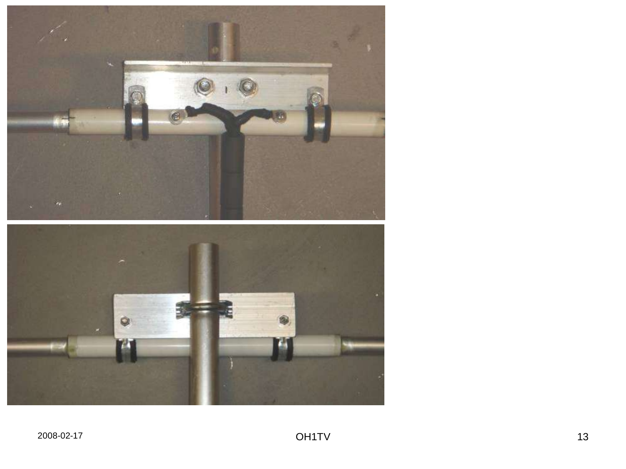